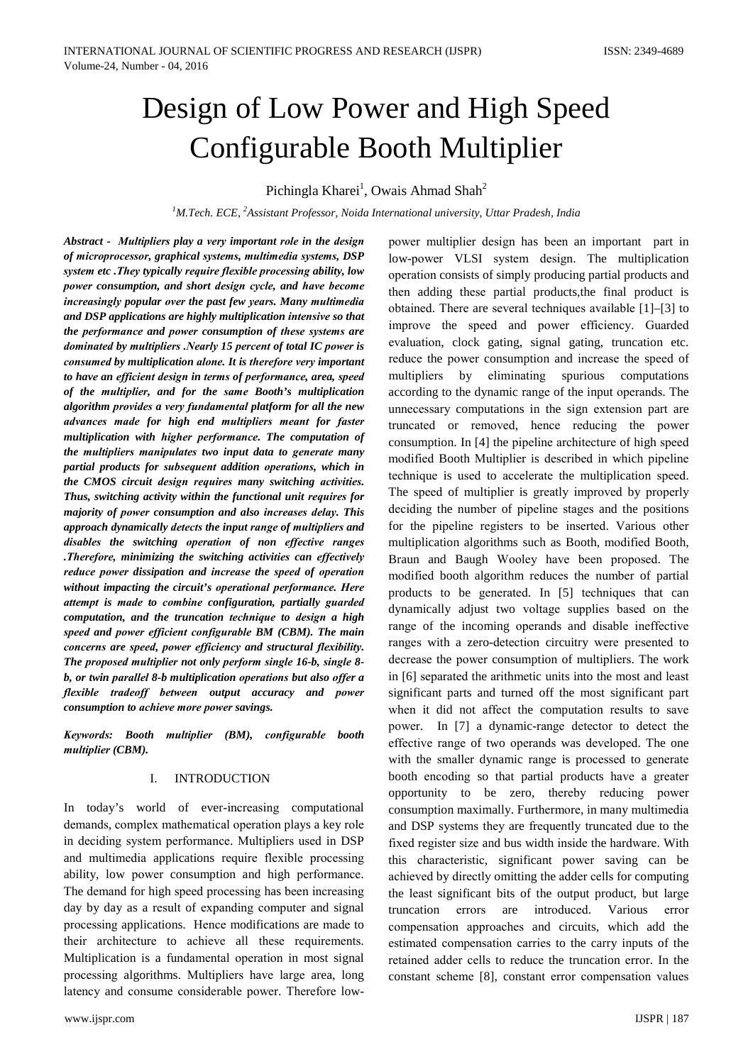# Design of Low Power and High Speed **Configurable Booth Multiplier**

Pichingla Kharei<sup>1</sup>, Owais Ahmad Shah<sup>2</sup>

<sup>1</sup>M.Tech. ECE, <sup>2</sup>Assistant Professor, Noida International university, Uttar Pradesh, India

Abstract - Multipliers play a very important role in the design of microprocessor, graphical systems, multimedia systems, DSP system etc. They typically require flexible processing ability, low power consumption, and short design cycle, and have become increasingly popular over the past few years. Many multimedia and DSP applications are highly multiplication intensive so that the performance and power consumption of these systems are dominated by multipliers . Nearly 15 percent of total IC power is consumed by multiplication alone. It is therefore very important to have an efficient design in terms of performance, area, speed of the multiplier, and for the same Booth's multiplication algorithm provides a very fundamental platform for all the new advances made for high end multipliers meant for faster multiplication with higher performance. The computation of the multipliers manipulates two input data to generate many partial products for subsequent addition operations, which in the CMOS circuit design requires many switching activities. Thus, switching activity within the functional unit requires for majority of power consumption and also increases delay. This approach dynamically detects the input range of multipliers and disables the switching operation of non effective ranges .Therefore, minimizing the switching activities can effectively reduce power dissipation and increase the speed of operation without impacting the circuit's operational performance. Here attempt is made to combine configuration, partially guarded computation, and the truncation technique to design a high speed and power efficient configurable BM (CBM). The main concerns are speed, power efficiency and structural flexibility. The proposed multiplier not only perform single 16-b, single 8b, or twin parallel 8-b multiplication operations but also offer a flexible tradeoff between output accuracy and power consumption to achieve more power savings.

Keywords: Booth multiplier (BM), configurable booth multiplier (CBM).

#### **INTRODUCTION**  $I.$

In today's world of ever-increasing computational demands, complex mathematical operation plays a key role in deciding system performance. Multipliers used in DSP and multimedia applications require flexible processing ability, low power consumption and high performance. The demand for high speed processing has been increasing day by day as a result of expanding computer and signal processing applications. Hence modifications are made to their architecture to achieve all these requirements. Multiplication is a fundamental operation in most signal processing algorithms. Multipliers have large area, long latency and consume considerable power. Therefore lowpower multiplier design has been an important part in low-power VLSI system design. The multiplication operation consists of simply producing partial products and then adding these partial products, the final product is obtained. There are several techniques available [1]–[3] to improve the speed and power efficiency. Guarded evaluation, clock gating, signal gating, truncation etc. reduce the power consumption and increase the speed of eliminating spurious computations multipliers  $by$ according to the dynamic range of the input operands. The unnecessary computations in the sign extension part are truncated or removed, hence reducing the power consumption. In [4] the pipeline architecture of high speed modified Booth Multiplier is described in which pipeline technique is used to accelerate the multiplication speed. The speed of multiplier is greatly improved by properly deciding the number of pipeline stages and the positions for the pipeline registers to be inserted. Various other multiplication algorithms such as Booth, modified Booth, Braun and Baugh Wooley have been proposed. The modified booth algorithm reduces the number of partial products to be generated. In [5] techniques that can dynamically adjust two voltage supplies based on the range of the incoming operands and disable ineffective ranges with a zero-detection circuitry were presented to decrease the power consumption of multipliers. The work in [6] separated the arithmetic units into the most and least significant parts and turned off the most significant part when it did not affect the computation results to save power. In [7] a dynamic-range detector to detect the effective range of two operands was developed. The one with the smaller dynamic range is processed to generate booth encoding so that partial products have a greater opportunity to be zero, thereby reducing power consumption maximally. Furthermore, in many multimedia and DSP systems they are frequently truncated due to the fixed register size and bus width inside the hardware. With this characteristic, significant power saving can be achieved by directly omitting the adder cells for computing the least significant bits of the output product, but large truncation errors introduced. Various are error compensation approaches and circuits, which add the estimated compensation carries to the carry inputs of the retained adder cells to reduce the truncation error. In the constant scheme [8], constant error compensation values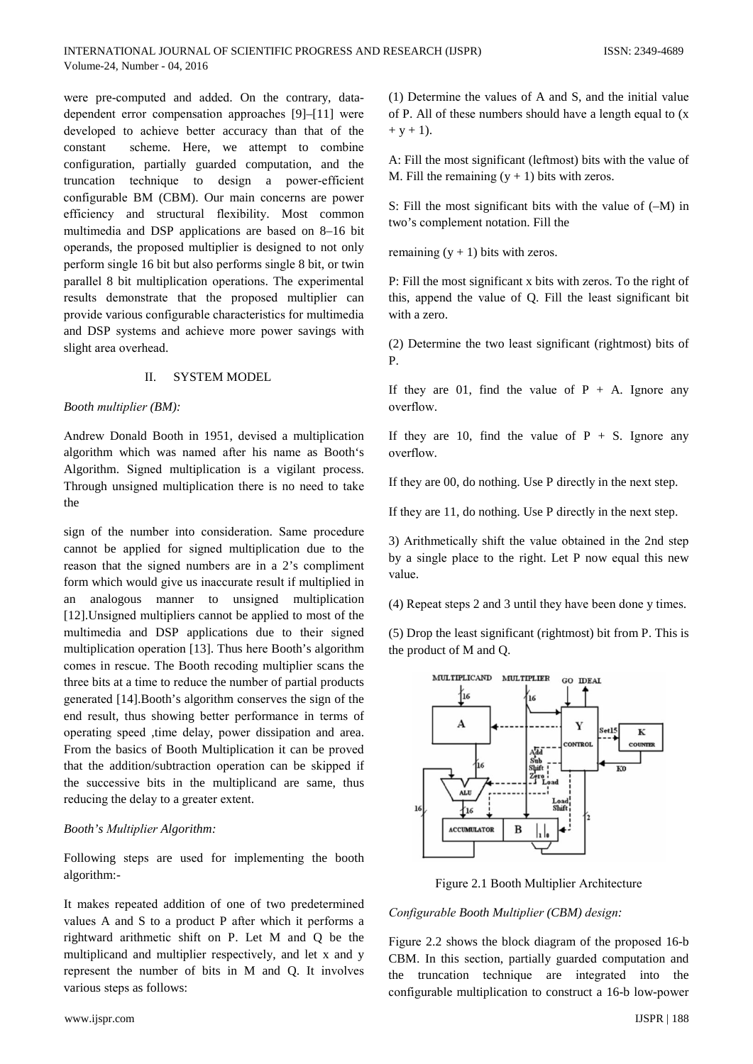were pre-computed and added. On the contrary, datadependent error compensation approaches [9]-[11] were developed to achieve better accuracy than that of the scheme. Here, we attempt to combine constant configuration, partially guarded computation, and the truncation technique to design a power-efficient configurable BM (CBM). Our main concerns are power efficiency and structural flexibility. Most common multimedia and DSP applications are based on 8–16 bit operands, the proposed multiplier is designed to not only perform single 16 bit but also performs single 8 bit, or twin parallel 8 bit multiplication operations. The experimental results demonstrate that the proposed multiplier can provide various configurable characteristics for multimedia and DSP systems and achieve more power savings with slight area overhead.

#### $\Pi$ **SYSTEM MODEL**

### Booth multiplier (BM):

Andrew Donald Booth in 1951, devised a multiplication algorithm which was named after his name as Booth's Algorithm. Signed multiplication is a vigilant process. Through unsigned multiplication there is no need to take the

sign of the number into consideration. Same procedure cannot be applied for signed multiplication due to the reason that the signed numbers are in a 2's compliment form which would give us inaccurate result if multiplied in an analogous manner to unsigned multiplication [12]. Unsigned multipliers cannot be applied to most of the multimedia and DSP applications due to their signed multiplication operation [13]. Thus here Booth's algorithm comes in rescue. The Booth recoding multiplier scans the three bits at a time to reduce the number of partial products generated [14]. Booth's algorithm conserves the sign of the end result, thus showing better performance in terms of operating speed , time delay, power dissipation and area. From the basics of Booth Multiplication it can be proved that the addition/subtraction operation can be skipped if the successive bits in the multiplicand are same, thus reducing the delay to a greater extent.

## **Booth's Multiplier Algorithm:**

Following steps are used for implementing the booth algorithm:-

It makes repeated addition of one of two predetermined values A and S to a product P after which it performs a rightward arithmetic shift on P. Let M and Q be the multiplicand and multiplier respectively, and let x and y represent the number of bits in M and Q. It involves various steps as follows:

(1) Determine the values of A and S, and the initial value of P. All of these numbers should have a length equal to (x)  $+ y + 1$ ).

A: Fill the most significant (leftmost) bits with the value of M. Fill the remaining  $(y + 1)$  bits with zeros.

S: Fill the most significant bits with the value of  $(-M)$  in two's complement notation. Fill the

remaining  $(y + 1)$  bits with zeros.

P: Fill the most significant x bits with zeros. To the right of this, append the value of Q. Fill the least significant bit with a zero.

(2) Determine the two least significant (rightmost) bits of P

If they are 01, find the value of  $P + A$ . Ignore any overflow.

If they are 10, find the value of  $P + S$ . Ignore any overflow.

If they are 00, do nothing. Use P directly in the next step.

If they are 11, do nothing. Use P directly in the next step.

3) Arithmetically shift the value obtained in the 2nd step by a single place to the right. Let P now equal this new value.

(4) Repeat steps 2 and 3 until they have been done y times.

(5) Drop the least significant (rightmost) bit from P. This is the product of M and Q.



Figure 2.1 Booth Multiplier Architecture

Configurable Booth Multiplier (CBM) design:

Figure 2.2 shows the block diagram of the proposed 16-b CBM. In this section, partially guarded computation and the truncation technique are integrated into the configurable multiplication to construct a 16-b low-power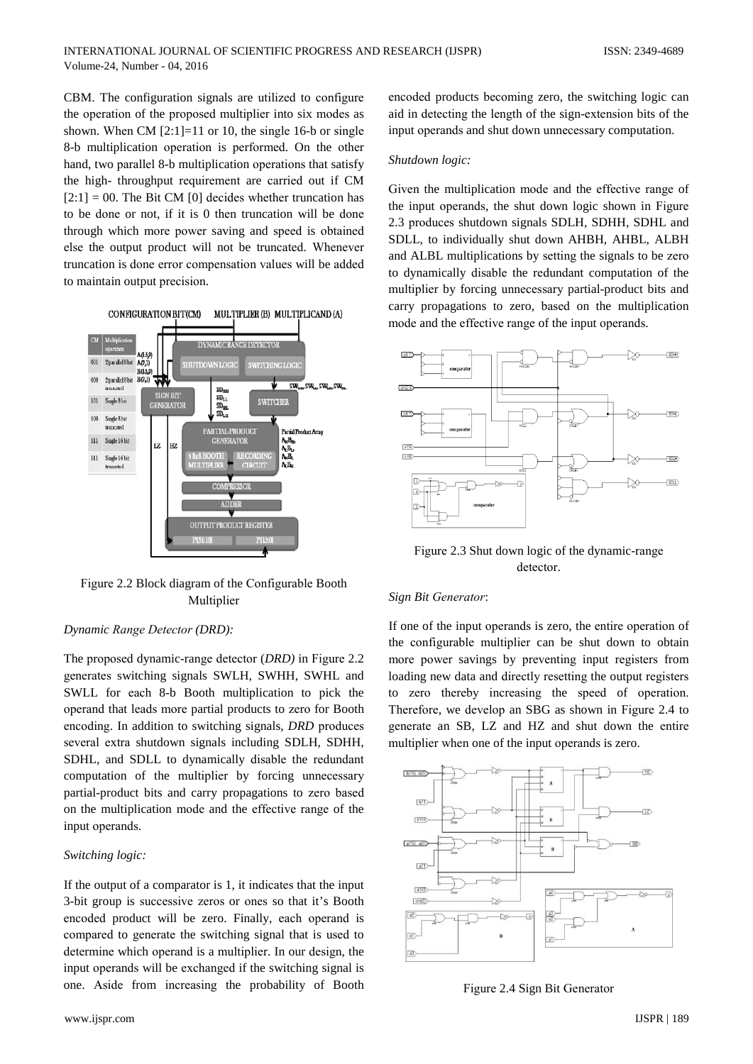CBM. The configuration signals are utilized to configure the operation of the proposed multiplier into six modes as shown. When CM  $[2:1] = 11$  or 10, the single 16-b or single 8-b multiplication operation is performed. On the other hand, two parallel 8-b multiplication operations that satisfy the high-throughput requirement are carried out if CM  $[2:1] = 00$ . The Bit CM [0] decides whether truncation has to be done or not, if it is 0 then truncation will be done through which more power saving and speed is obtained else the output product will not be truncated. Whenever truncation is done error compensation values will be added to maintain output precision.



Figure 2.2 Block diagram of the Configurable Booth Multiplier

## Dynamic Range Detector (DRD):

The proposed dynamic-range detector (DRD) in Figure 2.2 generates switching signals SWLH, SWHH, SWHL and SWLL for each 8-b Booth multiplication to pick the operand that leads more partial products to zero for Booth encoding. In addition to switching signals, DRD produces several extra shutdown signals including SDLH, SDHH, SDHL, and SDLL to dynamically disable the redundant computation of the multiplier by forcing unnecessary partial-product bits and carry propagations to zero based on the multiplication mode and the effective range of the input operands.

# Switching logic:

If the output of a comparator is 1, it indicates that the input 3-bit group is successive zeros or ones so that it's Booth encoded product will be zero. Finally, each operand is compared to generate the switching signal that is used to determine which operand is a multiplier. In our design, the input operands will be exchanged if the switching signal is one. Aside from increasing the probability of Booth

encoded products becoming zero, the switching logic can aid in detecting the length of the sign-extension bits of the input operands and shut down unnecessary computation.

## Shutdown logic:

Given the multiplication mode and the effective range of the input operands, the shut down logic shown in Figure 2.3 produces shutdown signals SDLH, SDHH, SDHL and SDLL, to individually shut down AHBH, AHBL, ALBH and ALBL multiplications by setting the signals to be zero to dynamically disable the redundant computation of the multiplier by forcing unnecessary partial-product bits and carry propagations to zero, based on the multiplication mode and the effective range of the input operands.



Figure 2.3 Shut down logic of the dynamic-range detector.

## Sign Bit Generator:

If one of the input operands is zero, the entire operation of the configurable multiplier can be shut down to obtain more power savings by preventing input registers from loading new data and directly resetting the output registers to zero thereby increasing the speed of operation. Therefore, we develop an SBG as shown in Figure 2.4 to generate an SB, LZ and HZ and shut down the entire multiplier when one of the input operands is zero.



Figure 2.4 Sign Bit Generator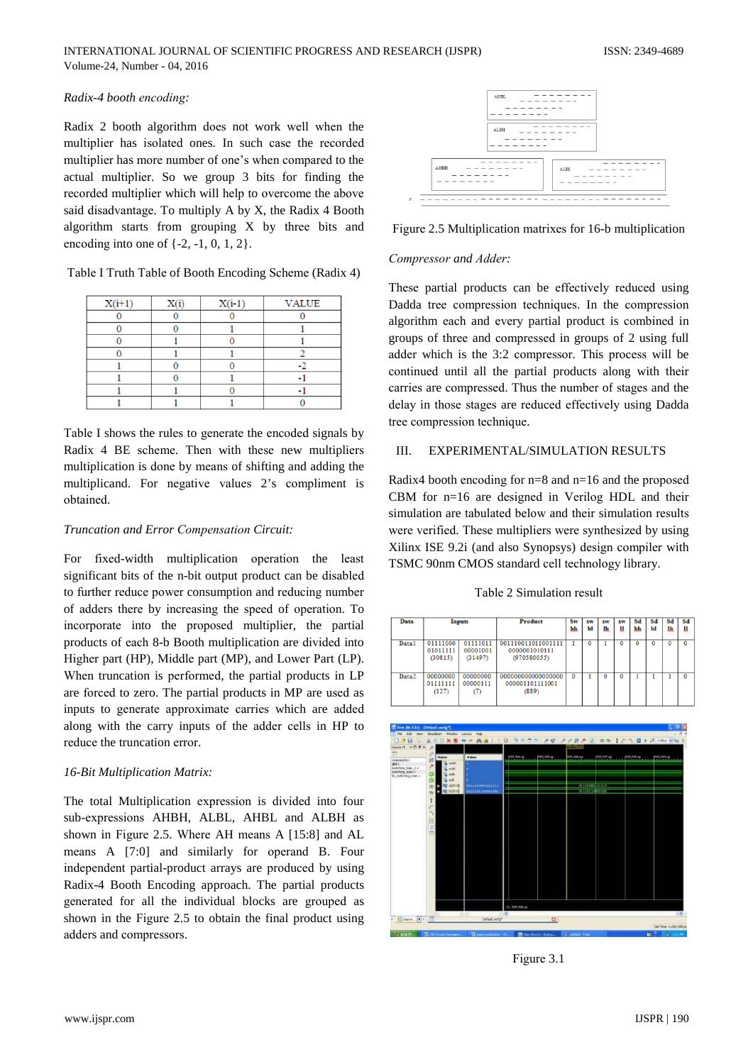# Radix-4 booth encoding:

Radix 2 booth algorithm does not work well when the multiplier has isolated ones. In such case the recorded multiplier has more number of one's when compared to the actual multiplier. So we group 3 bits for finding the recorded multiplier which will help to overcome the above said disadvantage. To multiply A by X, the Radix 4 Booth algorithm starts from grouping X by three bits and encoding into one of  $\{-2, -1, 0, 1, 2\}$ .

Table I Truth Table of Booth Encoding Scheme (Radix 4)

| $X(i+1)$ | X(i) | $X(i-1)$ | <b>VALUE</b> |
|----------|------|----------|--------------|
|          |      |          |              |
|          |      |          |              |
|          |      |          |              |
|          |      |          |              |
|          |      |          |              |
|          |      |          |              |
|          |      |          |              |
|          |      |          |              |

Table I shows the rules to generate the encoded signals by Radix 4 BE scheme. Then with these new multipliers multiplication is done by means of shifting and adding the multiplicand. For negative values 2's compliment is obtained.

# Truncation and Error Compensation Circuit:

For fixed-width multiplication operation the least significant bits of the n-bit output product can be disabled to further reduce power consumption and reducing number of adders there by increasing the speed of operation. To incorporate into the proposed multiplier, the partial products of each 8-b Booth multiplication are divided into Higher part (HP), Middle part (MP), and Lower Part (LP). When truncation is performed, the partial products in LP are forced to zero. The partial products in MP are used as inputs to generate approximate carries which are added along with the carry inputs of the adder cells in HP to reduce the truncation error.

# 16-Bit Multiplication Matrix:

The total Multiplication expression is divided into four sub-expressions AHBH, ALBL, AHBL and ALBH as shown in Figure 2.5. Where AH means A [15:8] and AL means A [7:0] and similarly for operand B. Four independent partial-product arrays are produced by using Radix-4 Booth Encoding approach. The partial products generated for all the individual blocks are grouped as shown in the Figure 2.5 to obtain the final product using adders and compressors.



Figure 2.5 Multiplication matrixes for 16-b multiplication

# Compressor and Adder:

These partial products can be effectively reduced using Dadda tree compression techniques. In the compression algorithm each and every partial product is combined in groups of three and compressed in groups of 2 using full adder which is the 3:2 compressor. This process will be continued until all the partial products along with their carries are compressed. Thus the number of stages and the delay in those stages are reduced effectively using Dadda tree compression technique.

#### EXPERIMENTAL/SIMULATION RESULTS  $III$

Radix4 booth encoding for  $n=8$  and  $n=16$  and the proposed CBM for  $n=16$  are designed in Verilog HDL and their simulation are tabulated below and their simulation results were verified. These multipliers were synthesized by using Xilinx ISE 9.2i (and also Synopsys) design compiler with TSMC 90nm CMOS standard cell technology library.

## Table 2 Simulation result



Figure 3.1